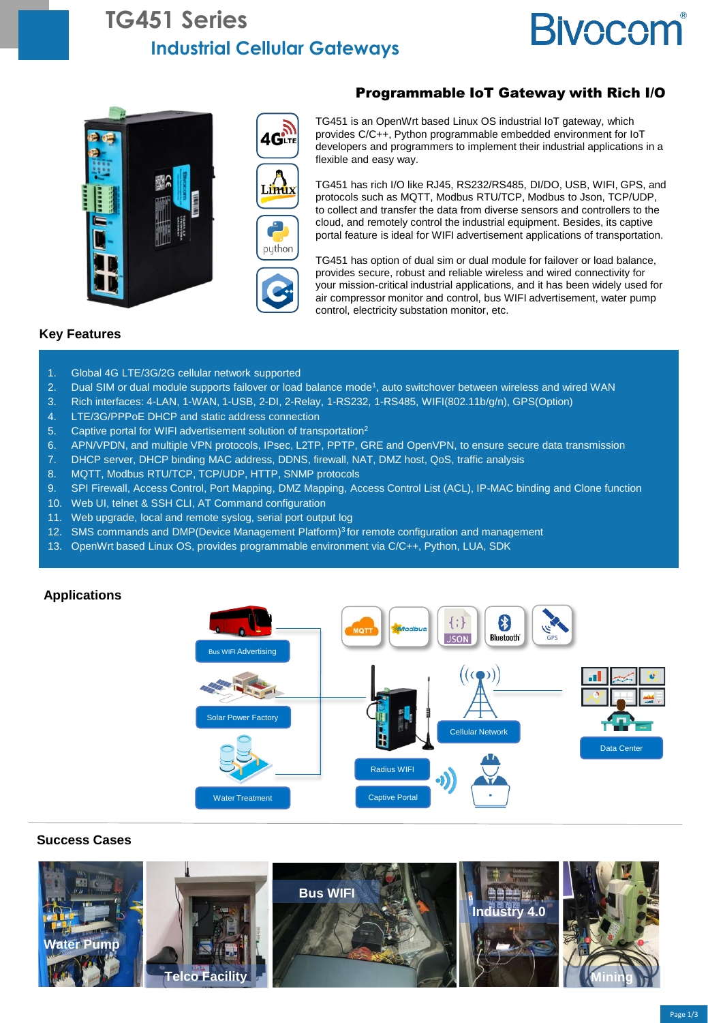## **TG451 Series Industrial Cellular Gateways**

# **Bivocom**





#### Programmable IoT Gateway with Rich I/O

TG451 is an OpenWrt based Linux OS industrial IoT gateway, which provides C/C++, Python programmable embedded environment for IoT developers and programmers to implement their industrial applications in a flexible and easy way.

TG451 has rich I/O like RJ45, RS232/RS485, DI/DO, USB, WIFI, GPS, and protocols such as MQTT, Modbus RTU/TCP, Modbus to Json, TCP/UDP, to collect and transfer the data from diverse sensors and controllers to the cloud, and remotely control the industrial equipment. Besides, its captive portal feature is ideal for WIFI advertisement applications of transportation.



TG451 has option of dual sim or dual module for failover or load balance, provides secure, robust and reliable wireless and wired connectivity for your mission-critical industrial applications, and it has been widely used for air compressor monitor and control, bus WIFI advertisement, water pump control, electricity substation monitor, etc.

#### **Key Features**

- 1. Global 4G LTE/3G/2G cellular network supported
- 2. Dual SIM or dual module supports failover or load balance mode<sup>1</sup>, auto switchover between wireless and wired WAN
- 3. Rich interfaces: 4-LAN, 1-WAN, 1-USB, 2-DI, 2-Relay, 1-RS232, 1-RS485, WIFI(802.11b/g/n), GPS(Option)
- 4. LTE/3G/PPPoE DHCP and static address connection
- 5. Captive portal for WIFI advertisement solution of transportation<sup>2</sup>
- 6. APN/VPDN, and multiple VPN protocols, IPsec, L2TP, PPTP, GRE and OpenVPN, to ensure secure data transmission
- 7. DHCP server, DHCP binding MAC address, DDNS, firewall, NAT, DMZ host, QoS, traffic analysis
- 8. MQTT, Modbus RTU/TCP, TCP/UDP, HTTP, SNMP protocols
- 9. SPI Firewall, Access Control, Port Mapping, DMZ Mapping, Access Control List (ACL), IP-MAC binding and Clone function
- 10. Web UI, telnet & SSH CLI, AT Command configuration
- 11. Web upgrade, local and remote syslog, serial port output log
- 12. SMS commands and DMP(Device Management Platform)<sup>3</sup> for remote configuration and management
- 13. OpenWrt based Linux OS, provides programmable environment via C/C++, Python, LUA, SDK



#### **Success Cases**

**Applications**

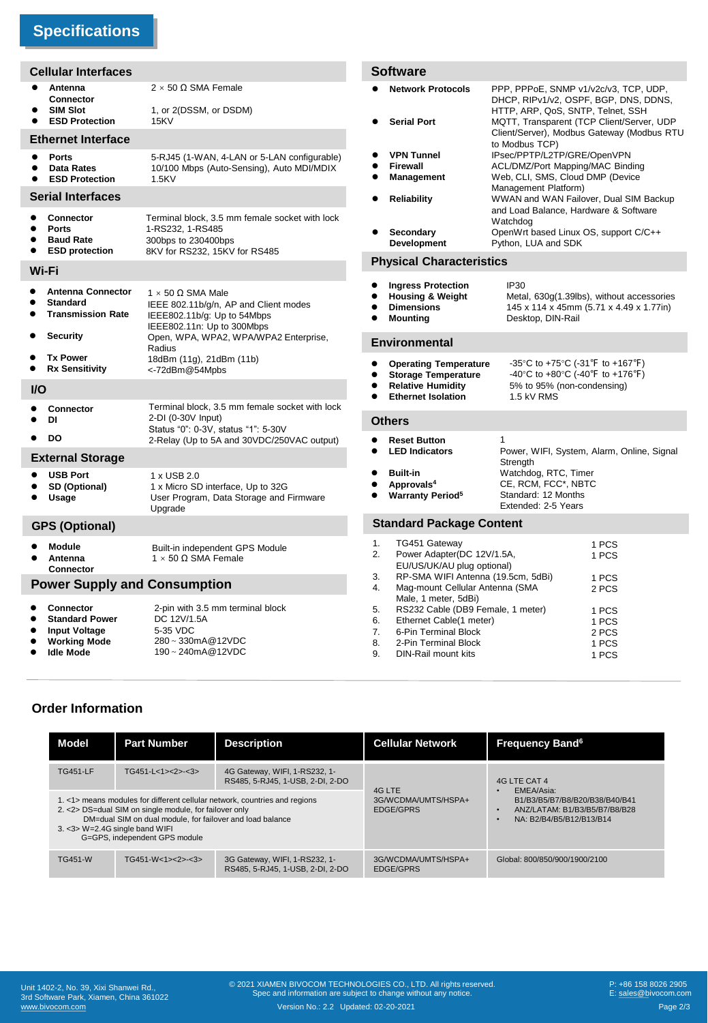## **Specifications**

|                                     | <b>Cellular Interfaces</b>                                                                                   |                                                                                                                                     | <b>Software</b>                                                                                                                                                                                                               |                                                                                                     |                                                                                                                             |  |
|-------------------------------------|--------------------------------------------------------------------------------------------------------------|-------------------------------------------------------------------------------------------------------------------------------------|-------------------------------------------------------------------------------------------------------------------------------------------------------------------------------------------------------------------------------|-----------------------------------------------------------------------------------------------------|-----------------------------------------------------------------------------------------------------------------------------|--|
| ٠                                   | Antenna<br>Connector<br><b>SIM Slot</b><br><b>ESD Protection</b>                                             | $2 \times 50 \Omega$ SMA Female<br>1, or 2(DSSM, or DSDM)<br>15KV                                                                   | <b>Network Protocols</b><br><b>Serial Port</b>                                                                                                                                                                                | HTTP, ARP, QoS, SNTP, Telnet, SSH                                                                   | PPP, PPPoE, SNMP v1/v2c/v3, TCP, UDP,<br>DHCP, RIPv1/v2, OSPF, BGP, DNS, DDNS,<br>MQTT, Transparent (TCP Client/Server, UDP |  |
| <b>Ethernet Interface</b>           |                                                                                                              |                                                                                                                                     |                                                                                                                                                                                                                               |                                                                                                     | Client/Server), Modbus Gateway (Modbus RTU<br>to Modbus TCP)                                                                |  |
|                                     | <b>Ports</b><br><b>Data Rates</b><br><b>ESD Protection</b>                                                   | 5-RJ45 (1-WAN, 4-LAN or 5-LAN configurable)<br>10/100 Mbps (Auto-Sensing), Auto MDI/MDIX<br>1.5KV                                   | <b>VPN Tunnel</b><br>Firewall<br>Management                                                                                                                                                                                   | IPsec/PPTP/L2TP/GRE/OpenVPN<br>ACL/DMZ/Port Mapping/MAC Binding<br>Web, CLI, SMS, Cloud DMP (Device |                                                                                                                             |  |
| <b>Serial Interfaces</b>            |                                                                                                              |                                                                                                                                     | Management Platform)<br>WWAN and WAN Failover, Dual SIM Backup<br><b>Reliability</b><br>$\bullet$                                                                                                                             |                                                                                                     |                                                                                                                             |  |
|                                     | <b>Connector</b><br><b>Ports</b><br><b>Baud Rate</b>                                                         | Terminal block, 3.5 mm female socket with lock<br>1-RS232, 1-RS485<br>300bps to 230400bps                                           | Secondary<br>Development                                                                                                                                                                                                      | Watchdog                                                                                            | and Load Balance, Hardware & Software<br>OpenWrt based Linux OS, support C/C++<br>Python, LUA and SDK                       |  |
|                                     | <b>ESD protection</b>                                                                                        | 8KV for RS232, 15KV for RS485                                                                                                       | <b>Physical Characteristics</b>                                                                                                                                                                                               |                                                                                                     |                                                                                                                             |  |
| Wi-Fi                               | <b>Antenna Connector</b><br><b>Standard</b><br><b>Transmission Rate</b>                                      | $1 \times 50 \Omega$ SMA Male<br>IEEE 802.11b/g/n, AP and Client modes<br>IEEE802.11b/g: Up to 54Mbps<br>IEEE802.11n: Up to 300Mbps | <b>Ingress Protection</b><br><b>Housing &amp; Weight</b><br><b>Dimensions</b><br><b>Mounting</b>                                                                                                                              | <b>IP30</b><br>Desktop, DIN-Rail                                                                    | Metal, 630g(1.39lbs), without accessories<br>145 x 114 x 45mm (5.71 x 4.49 x 1.77in)                                        |  |
|                                     | <b>Security</b>                                                                                              | Open, WPA, WPA2, WPA/WPA2 Enterprise,<br>Radius                                                                                     | <b>Environmental</b>                                                                                                                                                                                                          |                                                                                                     |                                                                                                                             |  |
|                                     | <b>Tx Power</b><br><b>Rx Sensitivity</b>                                                                     | 18dBm (11g), 21dBm (11b)<br><-72dBm@54Mpbs                                                                                          | <b>Operating Temperature</b><br><b>Storage Temperature</b>                                                                                                                                                                    | -35°C to +75°C (-31°F to +167°F)<br>-40°C to +80°C (-40°F to +176°F)                                |                                                                                                                             |  |
| $UO$                                |                                                                                                              |                                                                                                                                     | <b>Relative Humidity</b><br>5% to 95% (non-condensing)<br><b>Ethernet Isolation</b><br>1.5 kV RMS                                                                                                                             |                                                                                                     |                                                                                                                             |  |
| DI                                  | <b>Connector</b>                                                                                             | Terminal block, 3.5 mm female socket with lock<br>2-DI (0-30V Input)<br>Status "0": 0-3V, status "1": 5-30V                         | <b>Others</b>                                                                                                                                                                                                                 |                                                                                                     |                                                                                                                             |  |
|                                     | <b>DO</b>                                                                                                    | 2-Relay (Up to 5A and 30VDC/250VAC output)                                                                                          | <b>Reset Button</b><br>$\bullet$<br><b>LED Indicators</b>                                                                                                                                                                     | 1                                                                                                   | Power, WIFI, System, Alarm, Online, Signal                                                                                  |  |
|                                     | <b>External Storage</b><br><b>USB Port</b><br>SD (Optional)<br>Usage                                         | 1 x USB 2.0<br>1 x Micro SD interface, Up to 32G<br>User Program, Data Storage and Firmware<br>Upgrade                              | <b>Built-in</b><br>Approvals <sup>4</sup><br><b>Warranty Period<sup>5</sup></b>                                                                                                                                               | Strength                                                                                            | Watchdog, RTC, Timer<br>CE, RCM, FCC*, NBTC<br>Standard: 12 Months<br>Extended: 2-5 Years                                   |  |
| <b>GPS (Optional)</b>               |                                                                                                              |                                                                                                                                     | <b>Standard Package Content</b>                                                                                                                                                                                               |                                                                                                     |                                                                                                                             |  |
|                                     | <b>Module</b><br>Antenna<br>Connector                                                                        | Built-in independent GPS Module<br>$1 \times 50$ Ω SMA Female                                                                       | 1.<br>TG451 Gateway<br>2.                                                                                                                                                                                                     | 1 PCS<br>Power Adapter(DC 12V/1.5A,<br>1 PCS<br>EU/US/UK/AU plug optional)                          |                                                                                                                             |  |
| <b>Power Supply and Consumption</b> |                                                                                                              |                                                                                                                                     | RP-SMA WIFI Antenna (19.5cm, 5dBi)<br>3.<br>4.<br>Mag-mount Cellular Antenna (SMA                                                                                                                                             |                                                                                                     | 1 PCS<br>2 PCS                                                                                                              |  |
| $\bullet$                           | <b>Connector</b><br><b>Standard Power</b><br><b>Input Voltage</b><br><b>Working Mode</b><br><b>Idle Mode</b> | 2-pin with 3.5 mm terminal block<br>DC 12V/1.5A<br>5-35 VDC<br>280~330mA@12VDC<br>190~240mA@12VDC                                   | Male, 1 meter, 5dBi)<br>5.<br>RS232 Cable (DB9 Female, 1 meter)<br>1 PCS<br>6.<br>Ethernet Cable(1 meter)<br>1 PCS<br>7.<br>6-Pin Terminal Block<br>2 PCS<br>8.<br>2-Pin Terminal Block<br>1 PCS<br>9.<br>DIN-Rail mount kits |                                                                                                     | 1 PCS                                                                                                                       |  |

#### **Order Information**

| Model           | <b>Part Number</b>                                                                                                                                                                        | <b>Description</b>                                                         | <b>Cellular Network</b>                           | <b>Frequency Band<sup>6</sup></b>                                                                                         |  |
|-----------------|-------------------------------------------------------------------------------------------------------------------------------------------------------------------------------------------|----------------------------------------------------------------------------|---------------------------------------------------|---------------------------------------------------------------------------------------------------------------------------|--|
| <b>TG451-LF</b> | $TG451-L<1><2><2><3>$                                                                                                                                                                     | 4G Gateway, WIFI, 1-RS232, 1-<br>RS485, 5-RJ45, 1-USB, 2-DI, 2-DO          |                                                   | 4G LTE CAT 4<br>EMEA/Asia:<br>B1/B3/B5/B7/B8/B20/B38/B40/B41<br>ANZ/LATAM: B1/B3/B5/B7/B8/B28<br>NA: B2/B4/B5/B12/B13/B14 |  |
|                 | 2. < 2> DS=dual SIM on single module, for failover only<br>DM=dual SIM on dual module, for failover and load balance<br>3. < 3> W= 2.4G single band WIFI<br>G=GPS, independent GPS module | 1. <1> means modules for different cellular network, countries and regions | 4G LTE<br>3G/WCDMA/UMTS/HSPA+<br><b>EDGE/GPRS</b> |                                                                                                                           |  |
| <b>TG451-W</b>  | $TG451-W<1><2><2><3>$                                                                                                                                                                     | 3G Gateway, WIFI, 1-RS232, 1-<br>RS485, 5-RJ45, 1-USB, 2-DI, 2-DO          | 3G/WCDMA/UMTS/HSPA+<br><b>EDGE/GPRS</b>           | Global: 800/850/900/1900/2100                                                                                             |  |